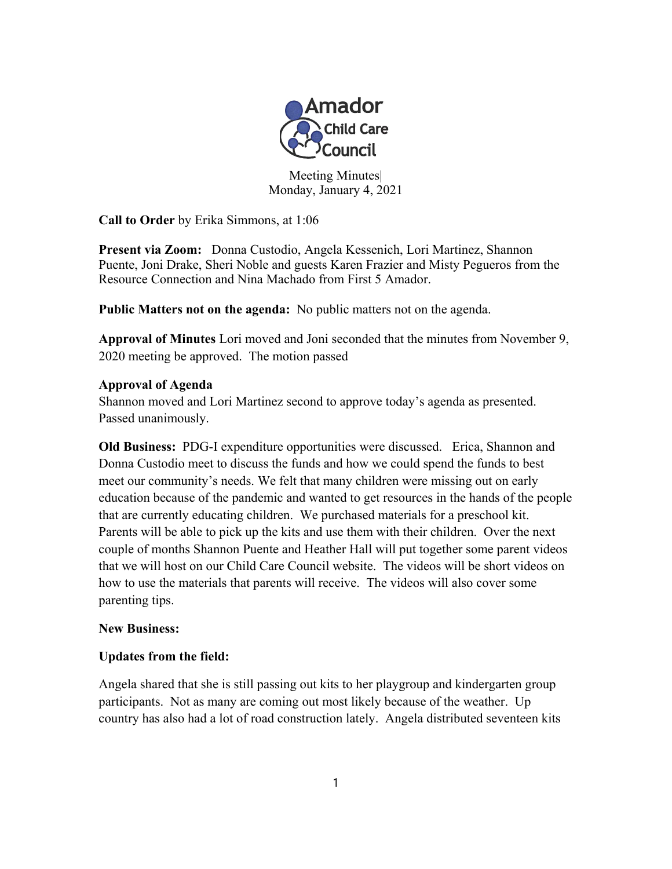

Meeting Minutes| Monday, January 4, 2021

**Call to Order** by Erika Simmons, at 1:06

**Present via Zoom:** Donna Custodio, Angela Kessenich, Lori Martinez, Shannon Puente, Joni Drake, Sheri Noble and guests Karen Frazier and Misty Pegueros from the Resource Connection and Nina Machado from First 5 Amador.

**Public Matters not on the agenda:** No public matters not on the agenda.

**Approval of Minutes** Lori moved and Joni seconded that the minutes from November 9, 2020 meeting be approved. The motion passed

## **Approval of Agenda**

Shannon moved and Lori Martinez second to approve today's agenda as presented. Passed unanimously.

**Old Business:** PDG-I expenditure opportunities were discussed. Erica, Shannon and Donna Custodio meet to discuss the funds and how we could spend the funds to best meet our community's needs. We felt that many children were missing out on early education because of the pandemic and wanted to get resources in the hands of the people that are currently educating children. We purchased materials for a preschool kit. Parents will be able to pick up the kits and use them with their children. Over the next couple of months Shannon Puente and Heather Hall will put together some parent videos that we will host on our Child Care Council website. The videos will be short videos on how to use the materials that parents will receive. The videos will also cover some parenting tips.

## **New Business:**

## **Updates from the field:**

Angela shared that she is still passing out kits to her playgroup and kindergarten group participants. Not as many are coming out most likely because of the weather. Up country has also had a lot of road construction lately. Angela distributed seventeen kits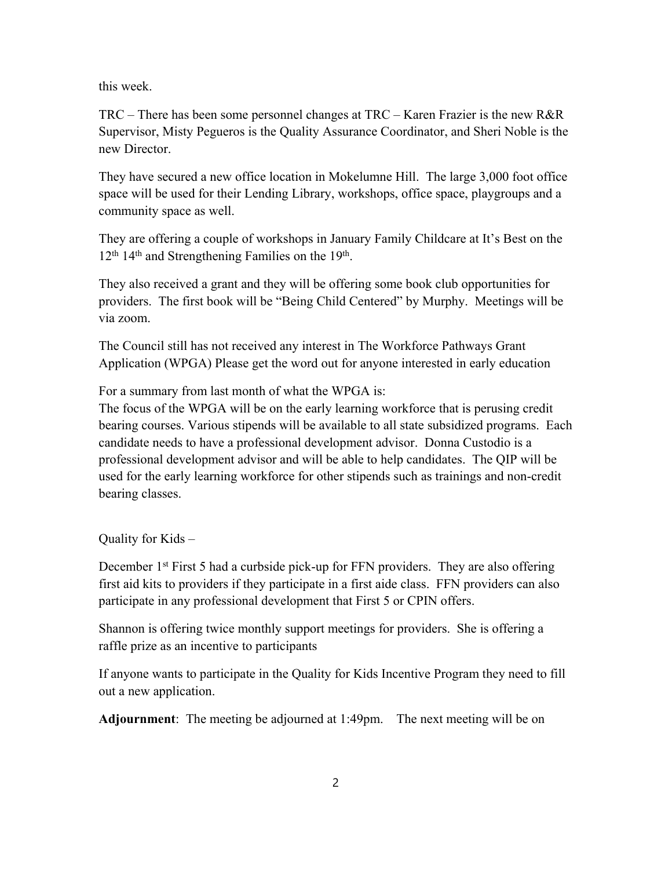this week.

TRC – There has been some personnel changes at TRC – Karen Frazier is the new R&R Supervisor, Misty Pegueros is the Quality Assurance Coordinator, and Sheri Noble is the new Director.

They have secured a new office location in Mokelumne Hill. The large 3,000 foot office space will be used for their Lending Library, workshops, office space, playgroups and a community space as well.

They are offering a couple of workshops in January Family Childcare at It's Best on the 12<sup>th</sup> 14<sup>th</sup> and Strengthening Families on the 19<sup>th</sup>.

They also received a grant and they will be offering some book club opportunities for providers. The first book will be "Being Child Centered" by Murphy. Meetings will be via zoom.

The Council still has not received any interest in The Workforce Pathways Grant Application (WPGA) Please get the word out for anyone interested in early education

For a summary from last month of what the WPGA is:

The focus of the WPGA will be on the early learning workforce that is perusing credit bearing courses. Various stipends will be available to all state subsidized programs. Each candidate needs to have a professional development advisor. Donna Custodio is a professional development advisor and will be able to help candidates. The QIP will be used for the early learning workforce for other stipends such as trainings and non-credit bearing classes.

Quality for Kids –

December 1<sup>st</sup> First 5 had a curbside pick-up for FFN providers. They are also offering first aid kits to providers if they participate in a first aide class. FFN providers can also participate in any professional development that First 5 or CPIN offers.

Shannon is offering twice monthly support meetings for providers. She is offering a raffle prize as an incentive to participants

If anyone wants to participate in the Quality for Kids Incentive Program they need to fill out a new application.

**Adjournment**: The meeting be adjourned at 1:49pm. The next meeting will be on